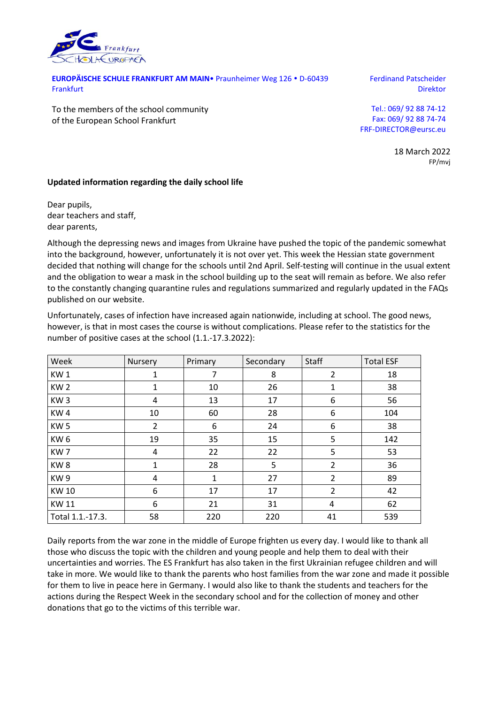

**EUROPÄISCHE SCHULE FRANKFURT AM MAIN** Praunheimer Weg 126 · D-60439 Frankfurt

Ferdinand Patscheider Direktor

To the members of the school community of the European School Frankfurt

Tel.: 069/ 92 88 74-12 Fax: 069/ 92 88 74-74 FRF-DIRECTOR@eursc.eu

> 18 March 2022 FP/mvj

## **Updated information regarding the daily school life**

Dear pupils, dear teachers and staff, dear parents,

Although the depressing news and images from Ukraine have pushed the topic of the pandemic somewhat into the background, however, unfortunately it is not over yet. This week the Hessian state government decided that nothing will change for the schools until 2nd April. Self-testing will continue in the usual extent and the obligation to wear a mask in the school building up to the seat will remain as before. We also refer to the constantly changing quarantine rules and regulations summarized and regularly updated in the FAQs published on our website.

| Unfortunately, cases of infection have increased again nationwide, including at school. The good news,     |  |
|------------------------------------------------------------------------------------------------------------|--|
| however, is that in most cases the course is without complications. Please refer to the statistics for the |  |
| number of positive cases at the school (1.1.-17.3.2022):                                                   |  |

| Week             | Nursery        | Primary | Secondary | Staff          | <b>Total ESF</b> |
|------------------|----------------|---------|-----------|----------------|------------------|
| KW1              | 1              | 7       | 8         | 2              | 18               |
| KW <sub>2</sub>  | 1              | 10      | 26        | 1              | 38               |
| KW <sub>3</sub>  | 4              | 13      | 17        | 6              | 56               |
| KW4              | 10             | 60      | 28        | 6              | 104              |
| KW <sub>5</sub>  | $\overline{2}$ | 6       | 24        | 6              | 38               |
| KW <sub>6</sub>  | 19             | 35      | 15        | 5              | 142              |
| KW <sub>7</sub>  | 4              | 22      | 22        | 5              | 53               |
| KW <sub>8</sub>  | $\mathbf{1}$   | 28      | 5         | $\overline{2}$ | 36               |
| KW <sub>9</sub>  | 4              | 1       | 27        | $\overline{2}$ | 89               |
| <b>KW10</b>      | 6              | 17      | 17        | $\overline{2}$ | 42               |
| <b>KW11</b>      | 6              | 21      | 31        | 4              | 62               |
| Total 1.1.-17.3. | 58             | 220     | 220       | 41             | 539              |

Daily reports from the war zone in the middle of Europe frighten us every day. I would like to thank all those who discuss the topic with the children and young people and help them to deal with their uncertainties and worries. The ES Frankfurt has also taken in the first Ukrainian refugee children and will take in more. We would like to thank the parents who host families from the war zone and made it possible for them to live in peace here in Germany. I would also like to thank the students and teachers for the actions during the Respect Week in the secondary school and for the collection of money and other donations that go to the victims of this terrible war.